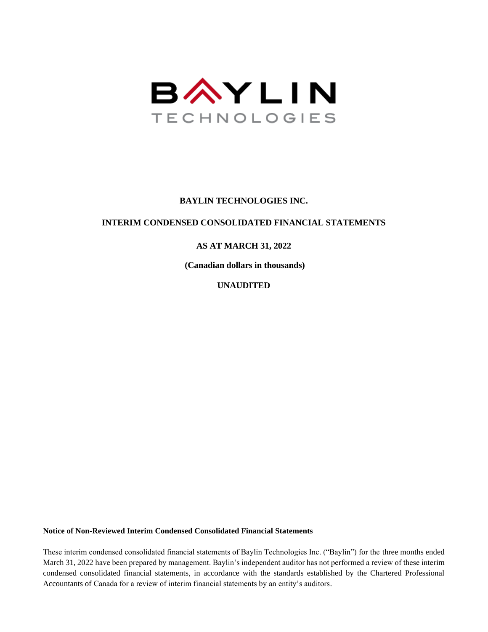

#### **BAYLIN TECHNOLOGIES INC.**

#### **INTERIM CONDENSED CONSOLIDATED FINANCIAL STATEMENTS**

#### **AS AT MARCH 31, 2022**

**(Canadian dollars in thousands)**

**UNAUDITED**

**Notice of Non-Reviewed Interim Condensed Consolidated Financial Statements**

These interim condensed consolidated financial statements of Baylin Technologies Inc. ("Baylin") for the three months ended March 31, 2022 have been prepared by management. Baylin's independent auditor has not performed a review of these interim condensed consolidated financial statements, in accordance with the standards established by the Chartered Professional Accountants of Canada for a review of interim financial statements by an entity's auditors.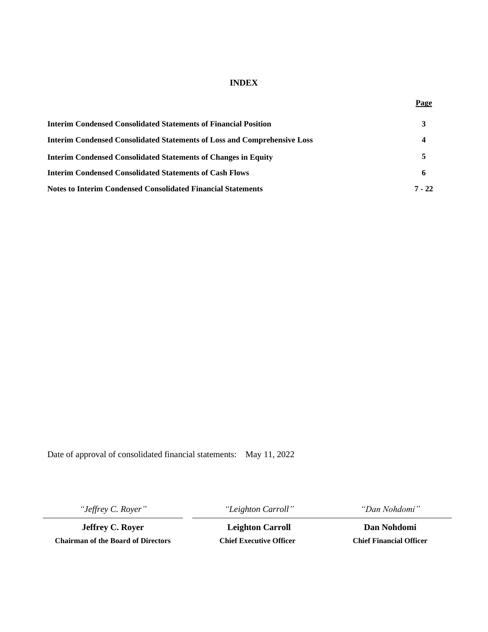#### **INDEX**

| Interim Condensed Consolidated Statements of Financial Position                 |          |  |  |
|---------------------------------------------------------------------------------|----------|--|--|
| <b>Interim Condensed Consolidated Statements of Loss and Comprehensive Loss</b> |          |  |  |
| <b>Interim Condensed Consolidated Statements of Changes in Equity</b>           |          |  |  |
| <b>Interim Condensed Consolidated Statements of Cash Flows</b>                  |          |  |  |
| Notes to Interim Condensed Consolidated Financial Statements                    | $7 - 22$ |  |  |

Date of approval of consolidated financial statements: May 11, 2022

*"Jeffrey C. Royer" "Leighton Carroll" "Dan Nohdomi"*

**Jeffrey C. Royer Leighton Carroll Dan Nohdomi Chairman of the Board of Directors Chief Executive Officer Chief Financial Officer**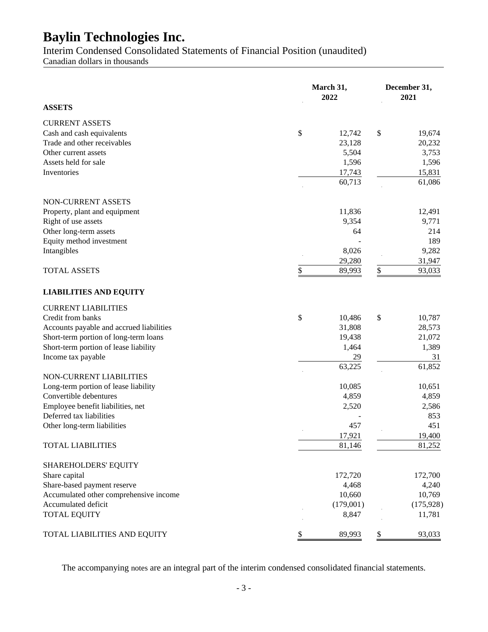Interim Condensed Consolidated Statements of Financial Position (unaudited)

Canadian dollars in thousands

|                                          | March 31,<br>2022 | December 31,<br>2021 |  |  |  |
|------------------------------------------|-------------------|----------------------|--|--|--|
| <b>ASSETS</b>                            |                   |                      |  |  |  |
| <b>CURRENT ASSETS</b>                    |                   |                      |  |  |  |
| Cash and cash equivalents                | \$<br>12,742      | \$<br>19,674         |  |  |  |
| Trade and other receivables              | 23,128            | 20,232               |  |  |  |
| Other current assets                     | 5,504             | 3,753                |  |  |  |
| Assets held for sale                     | 1,596             | 1,596                |  |  |  |
| Inventories                              | 17,743            | 15,831               |  |  |  |
|                                          | 60,713            | 61,086               |  |  |  |
| NON-CURRENT ASSETS                       |                   |                      |  |  |  |
| Property, plant and equipment            | 11,836            | 12,491               |  |  |  |
| Right of use assets                      | 9,354             | 9,771                |  |  |  |
| Other long-term assets                   | 64                | 214                  |  |  |  |
| Equity method investment                 |                   | 189                  |  |  |  |
| Intangibles                              | 8,026             | 9,282                |  |  |  |
|                                          | 29,280            | 31,947               |  |  |  |
| <b>TOTAL ASSETS</b>                      | \$<br>89,993      | \$<br>93,033         |  |  |  |
| <b>LIABILITIES AND EQUITY</b>            |                   |                      |  |  |  |
| <b>CURRENT LIABILITIES</b>               |                   |                      |  |  |  |
| Credit from banks                        | \$<br>10,486      | \$<br>10,787         |  |  |  |
| Accounts payable and accrued liabilities | 31,808            | 28,573               |  |  |  |
| Short-term portion of long-term loans    | 19,438            | 21,072               |  |  |  |
| Short-term portion of lease liability    | 1,464             | 1,389                |  |  |  |
| Income tax payable                       | 29                | 31                   |  |  |  |
|                                          | 63,225            | 61,852               |  |  |  |
| NON-CURRENT LIABILITIES                  |                   |                      |  |  |  |
| Long-term portion of lease liability     | 10,085            | 10,651               |  |  |  |
| Convertible debentures                   | 4,859             | 4,859                |  |  |  |
| Employee benefit liabilities, net        | 2,520             | 2,586                |  |  |  |
| Deferred tax liabilities                 |                   | 853                  |  |  |  |
| Other long-term liabilities              | 457               | 451                  |  |  |  |
|                                          | 17,921            | 19,400               |  |  |  |
| <b>TOTAL LIABILITIES</b>                 | 81,146            | 81,252               |  |  |  |
| SHAREHOLDERS' EQUITY                     |                   |                      |  |  |  |
| Share capital                            | 172,720           | 172,700              |  |  |  |
| Share-based payment reserve              | 4,468             | 4,240                |  |  |  |
| Accumulated other comprehensive income   | 10,660            | 10,769               |  |  |  |
| Accumulated deficit                      | (179,001)         | (175, 928)           |  |  |  |
| <b>TOTAL EQUITY</b>                      | 8,847             | 11,781               |  |  |  |
| TOTAL LIABILITIES AND EQUITY             | \$<br>89,993      | \$<br>93,033         |  |  |  |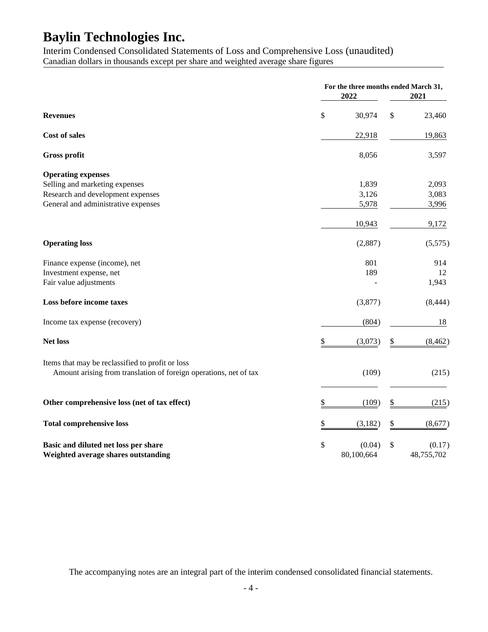Interim Condensed Consolidated Statements of Loss and Comprehensive Loss (unaudited) Canadian dollars in thousands except per share and weighted average share figures

|                                                                   | 2022           | For the three months ended March 31,<br>2021 |                |  |  |
|-------------------------------------------------------------------|----------------|----------------------------------------------|----------------|--|--|
| <b>Revenues</b>                                                   | \$<br>30,974   | \$                                           | 23,460         |  |  |
| Cost of sales                                                     | 22,918         |                                              | 19,863         |  |  |
| Gross profit                                                      | 8,056          |                                              | 3,597          |  |  |
| <b>Operating expenses</b>                                         |                |                                              |                |  |  |
| Selling and marketing expenses                                    | 1,839          |                                              | 2,093          |  |  |
| Research and development expenses                                 | 3,126<br>5,978 |                                              | 3,083<br>3,996 |  |  |
| General and administrative expenses                               |                |                                              |                |  |  |
|                                                                   | 10,943         |                                              | 9,172          |  |  |
| <b>Operating loss</b>                                             | (2,887)        |                                              | (5,575)        |  |  |
| Finance expense (income), net                                     | 801            |                                              | 914            |  |  |
| Investment expense, net                                           | 189            |                                              | 12             |  |  |
| Fair value adjustments                                            |                |                                              | 1,943          |  |  |
| Loss before income taxes                                          | (3,877)        |                                              | (8, 444)       |  |  |
| Income tax expense (recovery)                                     | (804)          |                                              | 18             |  |  |
| <b>Net loss</b>                                                   | \$<br>(3,073)  | \$                                           | (8, 462)       |  |  |
| Items that may be reclassified to profit or loss                  |                |                                              |                |  |  |
| Amount arising from translation of foreign operations, net of tax | (109)          |                                              | (215)          |  |  |
| Other comprehensive loss (net of tax effect)                      | \$<br>(109)    | \$                                           | (215)          |  |  |
| <b>Total comprehensive loss</b>                                   | \$<br>(3,182)  | \$                                           | (8,677)        |  |  |
|                                                                   |                |                                              |                |  |  |
| Basic and diluted net loss per share                              | \$<br>(0.04)   | \$                                           | (0.17)         |  |  |
| Weighted average shares outstanding                               | 80,100,664     |                                              | 48,755,702     |  |  |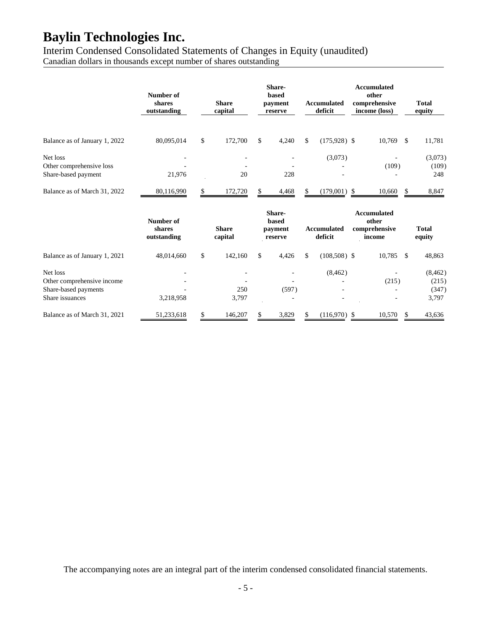Interim Condensed Consolidated Statements of Changes in Equity (unaudited) Canadian dollars in thousands except number of shares outstanding

|                               | Number of<br>shares<br>outstanding | <b>Share</b><br>capital | Share-<br>based<br>payment<br>reserve | <b>Accumulated</b><br>deficit | <b>Accumulated</b><br>other<br>comprehensive<br>income (loss) |               | <b>Total</b><br>equity |
|-------------------------------|------------------------------------|-------------------------|---------------------------------------|-------------------------------|---------------------------------------------------------------|---------------|------------------------|
|                               |                                    |                         |                                       |                               |                                                               |               |                        |
| Balance as of January 1, 2022 | 80,095,014                         | \$<br>172,700           | \$<br>4,240                           | \$<br>$(175,928)$ \$          | 10,769                                                        | <sup>\$</sup> | 11,781                 |
| Net loss                      |                                    |                         |                                       | (3,073)                       |                                                               |               | (3,073)                |
| Other comprehensive loss      |                                    |                         |                                       |                               | (109)                                                         |               | (109)                  |
| Share-based payment           | 21,976                             | 20                      | 228                                   |                               |                                                               |               | 248                    |
| Balance as of March 31, 2022  | 80,116,990                         | \$<br>172,720           | \$<br>4,468                           | $(179,001)$ \$                | 10,660                                                        | \$            | 8,847                  |
|                               | Number of<br>shares<br>outstanding | <b>Share</b><br>capital | Share-<br>based<br>payment<br>reserve | <b>Accumulated</b><br>deficit | <b>Accumulated</b><br>other<br>comprehensive<br>income        |               | <b>Total</b><br>equity |
| Balance as of January 1, 2021 | 48,014,660                         | \$<br>142,160           | \$<br>4,426                           | \$<br>$(108,508)$ \$          | 10,785                                                        | \$            | 48,863                 |
| Net loss                      |                                    |                         |                                       | (8, 462)                      |                                                               |               | (8, 462)               |
| Other comprehensive income    |                                    |                         |                                       |                               | (215)                                                         |               | (215)                  |
| Share-based payments          |                                    | 250                     | (597)                                 |                               |                                                               |               | (347)                  |
| Share issuances               | 3,218,958                          | 3,797                   |                                       |                               |                                                               |               | 3,797                  |
| Balance as of March 31, 2021  | 51,233,618                         | \$<br>146,207           | \$<br>3,829                           | \$<br>$(116,970)$ \$          | 10,570                                                        | \$            | 43,636                 |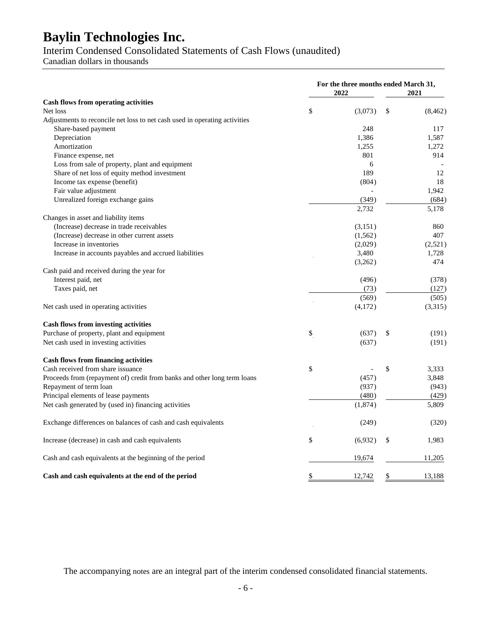### Interim Condensed Consolidated Statements of Cash Flows (unaudited)

Canadian dollars in thousands

|                                                                            | 2022          | For the three months ended March 31,<br>2021 |          |  |
|----------------------------------------------------------------------------|---------------|----------------------------------------------|----------|--|
| <b>Cash flows from operating activities</b>                                |               |                                              |          |  |
| Net loss                                                                   | \$<br>(3,073) | \$                                           | (8, 462) |  |
| Adjustments to reconcile net loss to net cash used in operating activities |               |                                              |          |  |
| Share-based payment                                                        | 248           |                                              | 117      |  |
| Depreciation                                                               | 1,386         |                                              | 1,587    |  |
| Amortization                                                               | 1,255         |                                              | 1,272    |  |
| Finance expense, net                                                       | 801           |                                              | 914      |  |
| Loss from sale of property, plant and equipment                            | 6             |                                              |          |  |
| Share of net loss of equity method investment                              | 189           |                                              | 12       |  |
| Income tax expense (benefit)                                               | (804)         |                                              | 18       |  |
| Fair value adjustment                                                      |               |                                              | 1,942    |  |
| Unrealized foreign exchange gains                                          | (349)         |                                              | (684)    |  |
|                                                                            | 2,732         |                                              | 5,178    |  |
| Changes in asset and liability items                                       |               |                                              |          |  |
| (Increase) decrease in trade receivables                                   | (3,151)       |                                              | 860      |  |
| (Increase) decrease in other current assets                                | (1, 562)      |                                              | 407      |  |
| Increase in inventories                                                    | (2,029)       |                                              | (2,521)  |  |
| Increase in accounts payables and accrued liabilities                      | 3,480         |                                              | 1,728    |  |
|                                                                            | (3,262)       |                                              | 474      |  |
| Cash paid and received during the year for                                 |               |                                              |          |  |
| Interest paid, net                                                         | (496)         |                                              | (378)    |  |
| Taxes paid, net                                                            | (73)          |                                              | (127)    |  |
|                                                                            | (569)         |                                              | (505)    |  |
| Net cash used in operating activities                                      | (4,172)       |                                              | (3,315)  |  |
| <b>Cash flows from investing activities</b>                                |               |                                              |          |  |
| Purchase of property, plant and equipment                                  | \$<br>(637)   | \$                                           | (191)    |  |
| Net cash used in investing activities                                      | (637)         |                                              | (191)    |  |
| <b>Cash flows from financing activities</b>                                |               |                                              |          |  |
| Cash received from share issuance                                          | \$            | \$                                           | 3,333    |  |
| Proceeds from (repayment of) credit from banks and other long term loans   | (457)         |                                              | 3,848    |  |
| Repayment of term loan                                                     | (937)         |                                              | (943)    |  |
| Principal elements of lease payments                                       | (480)         |                                              | (429)    |  |
| Net cash generated by (used in) financing activities                       | (1,874)       |                                              | 5,809    |  |
| Exchange differences on balances of cash and cash equivalents              | (249)         |                                              | (320)    |  |
| Increase (decrease) in cash and cash equivalents                           | \$<br>(6,932) | \$                                           | 1,983    |  |
| Cash and cash equivalents at the beginning of the period                   | 19,674        |                                              | 11,205   |  |
| Cash and cash equivalents at the end of the period                         | \$<br>12,742  | \$                                           | 13,188   |  |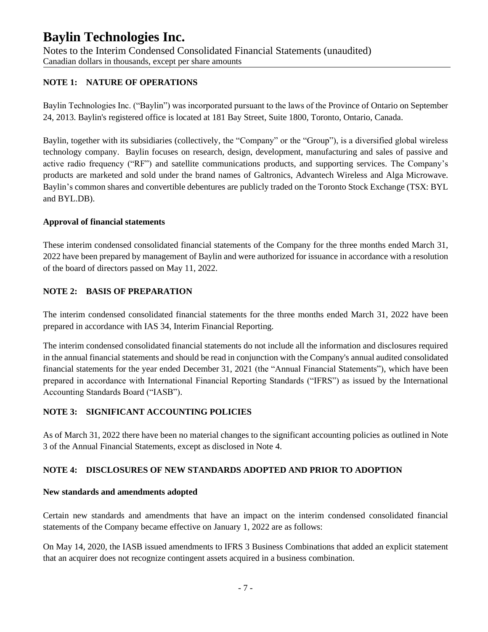Notes to the Interim Condensed Consolidated Financial Statements (unaudited) Canadian dollars in thousands, except per share amounts

#### **NOTE 1: NATURE OF OPERATIONS**

Baylin Technologies Inc. ("Baylin") was incorporated pursuant to the laws of the Province of Ontario on September 24, 2013. Baylin's registered office is located at 181 Bay Street, Suite 1800, Toronto, Ontario, Canada.

Baylin, together with its subsidiaries (collectively, the "Company" or the "Group"), is a diversified global wireless technology company. Baylin focuses on research, design, development, manufacturing and sales of passive and active radio frequency ("RF") and satellite communications products, and supporting services. The Company's products are marketed and sold under the brand names of Galtronics, Advantech Wireless and Alga Microwave. Baylin's common shares and convertible debentures are publicly traded on the Toronto Stock Exchange (TSX: BYL and BYL.DB).

#### **Approval of financial statements**

These interim condensed consolidated financial statements of the Company for the three months ended March 31, 2022 have been prepared by management of Baylin and were authorized for issuance in accordance with a resolution of the board of directors passed on May 11, 2022.

### **NOTE 2: BASIS OF PREPARATION**

The interim condensed consolidated financial statements for the three months ended March 31, 2022 have been prepared in accordance with IAS 34, Interim Financial Reporting.

The interim condensed consolidated financial statements do not include all the information and disclosures required in the annual financial statements and should be read in conjunction with the Company's annual audited consolidated financial statements for the year ended December 31, 2021 (the "Annual Financial Statements"), which have been prepared in accordance with International Financial Reporting Standards ("IFRS") as issued by the International Accounting Standards Board ("IASB").

#### **NOTE 3: SIGNIFICANT ACCOUNTING POLICIES**

As of March 31, 2022 there have been no material changes to the significant accounting policies as outlined in Note 3 of the Annual Financial Statements, except as disclosed in Note 4.

### **NOTE 4: DISCLOSURES OF NEW STANDARDS ADOPTED AND PRIOR TO ADOPTION**

#### **New standards and amendments adopted**

Certain new standards and amendments that have an impact on the interim condensed consolidated financial statements of the Company became effective on January 1, 2022 are as follows:

On May 14, 2020, the IASB issued amendments to IFRS 3 Business Combinations that added an explicit statement that an acquirer does not recognize contingent assets acquired in a business combination.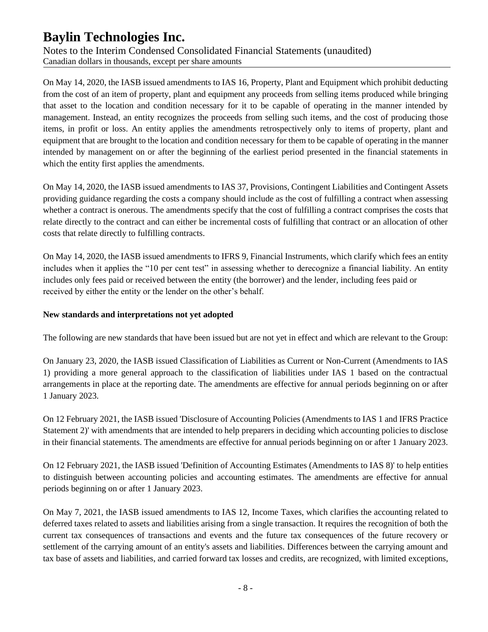Notes to the Interim Condensed Consolidated Financial Statements (unaudited) Canadian dollars in thousands, except per share amounts

On May 14, 2020, the IASB issued amendments to IAS 16, Property, Plant and Equipment which prohibit deducting from the cost of an item of property, plant and equipment any proceeds from selling items produced while bringing that asset to the location and condition necessary for it to be capable of operating in the manner intended by management. Instead, an entity recognizes the proceeds from selling such items, and the cost of producing those items, in profit or loss. An entity applies the amendments retrospectively only to items of property, plant and equipment that are brought to the location and condition necessary for them to be capable of operating in the manner intended by management on or after the beginning of the earliest period presented in the financial statements in which the entity first applies the amendments.

On May 14, 2020, the IASB issued amendments to IAS 37, Provisions, Contingent Liabilities and Contingent Assets providing guidance regarding the costs a company should include as the cost of fulfilling a contract when assessing whether a contract is onerous. The amendments specify that the cost of fulfilling a contract comprises the costs that relate directly to the contract and can either be incremental costs of fulfilling that contract or an allocation of other costs that relate directly to fulfilling contracts.

On May 14, 2020, the IASB issued amendments to IFRS 9, Financial Instruments, which clarify which fees an entity includes when it applies the "10 per cent test" in assessing whether to derecognize a financial liability. An entity includes only fees paid or received between the entity (the borrower) and the lender, including fees paid or received by either the entity or the lender on the other's behalf.

#### **New standards and interpretations not yet adopted**

The following are new standards that have been issued but are not yet in effect and which are relevant to the Group:

On January 23, 2020, the IASB issued Classification of Liabilities as Current or Non-Current (Amendments to IAS 1) providing a more general approach to the classification of liabilities under IAS 1 based on the contractual arrangements in place at the reporting date. The amendments are effective for annual periods beginning on or after 1 January 2023.

On 12 February 2021, the IASB issued 'Disclosure of Accounting Policies (Amendments to IAS 1 and IFRS Practice Statement 2)' with amendments that are intended to help preparers in deciding which accounting policies to disclose in their financial statements. The amendments are effective for annual periods beginning on or after 1 January 2023.

On 12 February 2021, the IASB issued 'Definition of Accounting Estimates (Amendments to IAS 8)' to help entities to distinguish between accounting policies and accounting estimates. The amendments are effective for annual periods beginning on or after 1 January 2023.

On May 7, 2021, the IASB issued amendments to IAS 12, Income Taxes, which clarifies the accounting related to deferred taxes related to assets and liabilities arising from a single transaction. It requires the recognition of both the current tax consequences of transactions and events and the future tax consequences of the future recovery or settlement of the carrying amount of an entity's assets and liabilities. Differences between the carrying amount and tax base of assets and liabilities, and carried forward tax losses and credits, are recognized, with limited exceptions,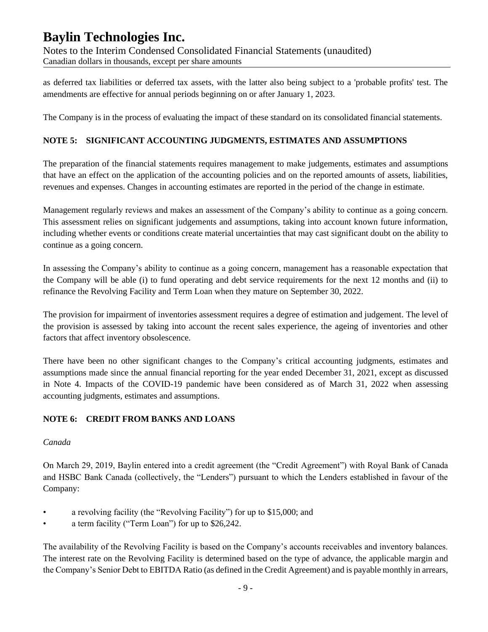Notes to the Interim Condensed Consolidated Financial Statements (unaudited) Canadian dollars in thousands, except per share amounts

as deferred tax liabilities or deferred tax assets, with the latter also being subject to a 'probable profits' test. The amendments are effective for annual periods beginning on or after January 1, 2023.

The Company is in the process of evaluating the impact of these standard on its consolidated financial statements.

### **NOTE 5: SIGNIFICANT ACCOUNTING JUDGMENTS, ESTIMATES AND ASSUMPTIONS**

The preparation of the financial statements requires management to make judgements, estimates and assumptions that have an effect on the application of the accounting policies and on the reported amounts of assets, liabilities, revenues and expenses. Changes in accounting estimates are reported in the period of the change in estimate.

Management regularly reviews and makes an assessment of the Company's ability to continue as a going concern. This assessment relies on significant judgements and assumptions, taking into account known future information, including whether events or conditions create material uncertainties that may cast significant doubt on the ability to continue as a going concern.

In assessing the Company's ability to continue as a going concern, management has a reasonable expectation that the Company will be able (i) to fund operating and debt service requirements for the next 12 months and (ii) to refinance the Revolving Facility and Term Loan when they mature on September 30, 2022.

The provision for impairment of inventories assessment requires a degree of estimation and judgement. The level of the provision is assessed by taking into account the recent sales experience, the ageing of inventories and other factors that affect inventory obsolescence.

There have been no other significant changes to the Company's critical accounting judgments, estimates and assumptions made since the annual financial reporting for the year ended December 31, 2021, except as discussed in Note 4. Impacts of the COVID-19 pandemic have been considered as of March 31, 2022 when assessing accounting judgments, estimates and assumptions.

### **NOTE 6: CREDIT FROM BANKS AND LOANS**

#### *Canada*

On March 29, 2019, Baylin entered into a credit agreement (the "Credit Agreement") with Royal Bank of Canada and HSBC Bank Canada (collectively, the "Lenders") pursuant to which the Lenders established in favour of the Company:

- a revolving facility (the "Revolving Facility") for up to \$15,000; and
- a term facility ("Term Loan") for up to \$26,242.

The availability of the Revolving Facility is based on the Company's accounts receivables and inventory balances. The interest rate on the Revolving Facility is determined based on the type of advance, the applicable margin and the Company's Senior Debt to EBITDA Ratio (as defined in the Credit Agreement) and is payable monthly in arrears,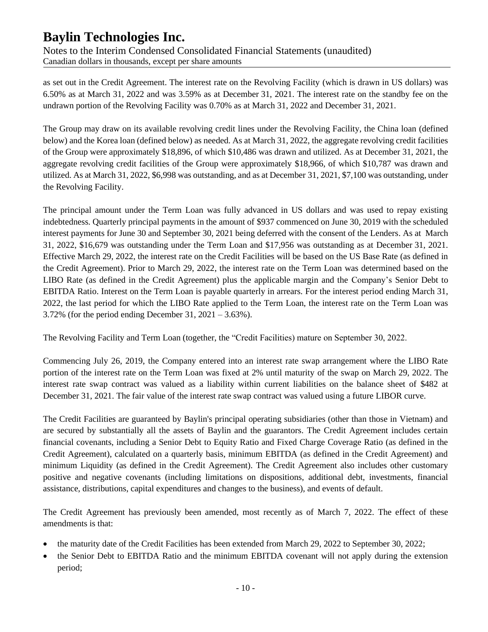Notes to the Interim Condensed Consolidated Financial Statements (unaudited) Canadian dollars in thousands, except per share amounts

as set out in the Credit Agreement. The interest rate on the Revolving Facility (which is drawn in US dollars) was 6.50% as at March 31, 2022 and was 3.59% as at December 31, 2021. The interest rate on the standby fee on the undrawn portion of the Revolving Facility was 0.70% as at March 31, 2022 and December 31, 2021.

The Group may draw on its available revolving credit lines under the Revolving Facility, the China loan (defined below) and the Korea loan (defined below) as needed. As at March 31, 2022, the aggregate revolving credit facilities of the Group were approximately \$18,896, of which \$10,486 was drawn and utilized. As at December 31, 2021, the aggregate revolving credit facilities of the Group were approximately \$18,966, of which \$10,787 was drawn and utilized. As at March 31, 2022, \$6,998 was outstanding, and as at December 31, 2021, \$7,100 was outstanding, under the Revolving Facility.

The principal amount under the Term Loan was fully advanced in US dollars and was used to repay existing indebtedness. Quarterly principal payments in the amount of \$937 commenced on June 30, 2019 with the scheduled interest payments for June 30 and September 30, 2021 being deferred with the consent of the Lenders. As at March 31, 2022, \$16,679 was outstanding under the Term Loan and \$17,956 was outstanding as at December 31, 2021. Effective March 29, 2022, the interest rate on the Credit Facilities will be based on the US Base Rate (as defined in the Credit Agreement). Prior to March 29, 2022, the interest rate on the Term Loan was determined based on the LIBO Rate (as defined in the Credit Agreement) plus the applicable margin and the Company's Senior Debt to EBITDA Ratio. Interest on the Term Loan is payable quarterly in arrears. For the interest period ending March 31, 2022, the last period for which the LIBO Rate applied to the Term Loan, the interest rate on the Term Loan was 3.72% (for the period ending December 31, 2021 – 3.63%).

The Revolving Facility and Term Loan (together, the "Credit Facilities) mature on September 30, 2022.

Commencing July 26, 2019, the Company entered into an interest rate swap arrangement where the LIBO Rate portion of the interest rate on the Term Loan was fixed at 2% until maturity of the swap on March 29, 2022. The interest rate swap contract was valued as a liability within current liabilities on the balance sheet of \$482 at December 31, 2021. The fair value of the interest rate swap contract was valued using a future LIBOR curve.

The Credit Facilities are guaranteed by Baylin's principal operating subsidiaries (other than those in Vietnam) and are secured by substantially all the assets of Baylin and the guarantors. The Credit Agreement includes certain financial covenants, including a Senior Debt to Equity Ratio and Fixed Charge Coverage Ratio (as defined in the Credit Agreement), calculated on a quarterly basis, minimum EBITDA (as defined in the Credit Agreement) and minimum Liquidity (as defined in the Credit Agreement). The Credit Agreement also includes other customary positive and negative covenants (including limitations on dispositions, additional debt, investments, financial assistance, distributions, capital expenditures and changes to the business), and events of default.

The Credit Agreement has previously been amended, most recently as of March 7, 2022. The effect of these amendments is that:

- the maturity date of the Credit Facilities has been extended from March 29, 2022 to September 30, 2022;
- the Senior Debt to EBITDA Ratio and the minimum EBITDA covenant will not apply during the extension period;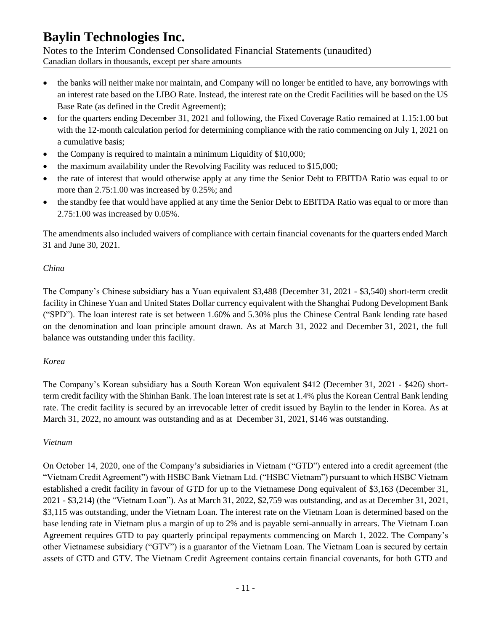Notes to the Interim Condensed Consolidated Financial Statements (unaudited) Canadian dollars in thousands, except per share amounts

- the banks will neither make nor maintain, and Company will no longer be entitled to have, any borrowings with an interest rate based on the LIBO Rate. Instead, the interest rate on the Credit Facilities will be based on the US Base Rate (as defined in the Credit Agreement);
- for the quarters ending December 31, 2021 and following, the Fixed Coverage Ratio remained at 1.15:1.00 but with the 12-month calculation period for determining compliance with the ratio commencing on July 1, 2021 on a cumulative basis;
- the Company is required to maintain a minimum Liquidity of \$10,000;
- the maximum availability under the Revolving Facility was reduced to \$15,000;
- the rate of interest that would otherwise apply at any time the Senior Debt to EBITDA Ratio was equal to or more than 2.75:1.00 was increased by 0.25%; and
- the standby fee that would have applied at any time the Senior Debt to EBITDA Ratio was equal to or more than 2.75:1.00 was increased by 0.05%.

The amendments also included waivers of compliance with certain financial covenants for the quarters ended March 31 and June 30, 2021.

### *China*

The Company's Chinese subsidiary has a Yuan equivalent \$3,488 (December 31, 2021 - \$3,540) short-term credit facility in Chinese Yuan and United States Dollar currency equivalent with the Shanghai Pudong Development Bank ("SPD"). The loan interest rate is set between 1.60% and 5.30% plus the Chinese Central Bank lending rate based on the denomination and loan principle amount drawn. As at March 31, 2022 and December 31, 2021, the full balance was outstanding under this facility.

#### *Korea*

The Company's Korean subsidiary has a South Korean Won equivalent \$412 (December 31, 2021 - \$426) shortterm credit facility with the Shinhan Bank. The loan interest rate is set at 1.4% plus the Korean Central Bank lending rate. The credit facility is secured by an irrevocable letter of credit issued by Baylin to the lender in Korea. As at March 31, 2022, no amount was outstanding and as at December 31, 2021, \$146 was outstanding.

#### *Vietnam*

On October 14, 2020, one of the Company's subsidiaries in Vietnam ("GTD") entered into a credit agreement (the "Vietnam Credit Agreement") with HSBC Bank Vietnam Ltd. ("HSBC Vietnam") pursuant to which HSBC Vietnam established a credit facility in favour of GTD for up to the Vietnamese Dong equivalent of \$3,163 (December 31, 2021 - \$3,214) (the "Vietnam Loan"). As at March 31, 2022, \$2,759 was outstanding, and as at December 31, 2021, \$3,115 was outstanding, under the Vietnam Loan. The interest rate on the Vietnam Loan is determined based on the base lending rate in Vietnam plus a margin of up to 2% and is payable semi-annually in arrears. The Vietnam Loan Agreement requires GTD to pay quarterly principal repayments commencing on March 1, 2022. The Company's other Vietnamese subsidiary ("GTV") is a guarantor of the Vietnam Loan. The Vietnam Loan is secured by certain assets of GTD and GTV. The Vietnam Credit Agreement contains certain financial covenants, for both GTD and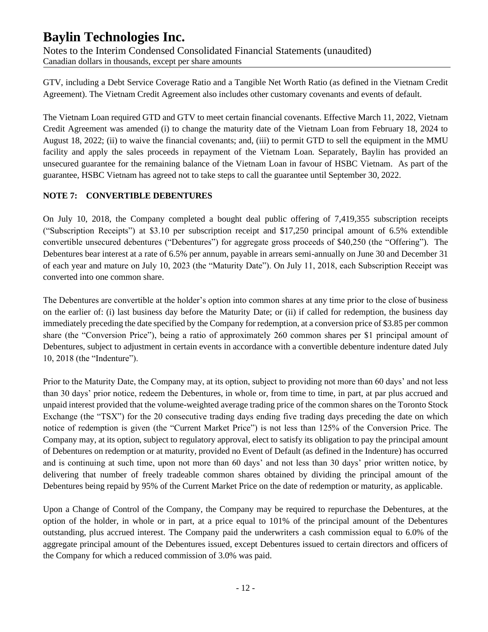Notes to the Interim Condensed Consolidated Financial Statements (unaudited) Canadian dollars in thousands, except per share amounts

GTV, including a Debt Service Coverage Ratio and a Tangible Net Worth Ratio (as defined in the Vietnam Credit Agreement). The Vietnam Credit Agreement also includes other customary covenants and events of default.

The Vietnam Loan required GTD and GTV to meet certain financial covenants. Effective March 11, 2022, Vietnam Credit Agreement was amended (i) to change the maturity date of the Vietnam Loan from February 18, 2024 to August 18, 2022; (ii) to waive the financial covenants; and, (iii) to permit GTD to sell the equipment in the MMU facility and apply the sales proceeds in repayment of the Vietnam Loan. Separately, Baylin has provided an unsecured guarantee for the remaining balance of the Vietnam Loan in favour of HSBC Vietnam. As part of the guarantee, HSBC Vietnam has agreed not to take steps to call the guarantee until September 30, 2022.

### **NOTE 7: CONVERTIBLE DEBENTURES**

On July 10, 2018, the Company completed a bought deal public offering of 7,419,355 subscription receipts ("Subscription Receipts") at \$3.10 per subscription receipt and \$17,250 principal amount of 6.5% extendible convertible unsecured debentures ("Debentures") for aggregate gross proceeds of \$40,250 (the "Offering"). The Debentures bear interest at a rate of 6.5% per annum, payable in arrears semi-annually on June 30 and December 31 of each year and mature on July 10, 2023 (the "Maturity Date"). On July 11, 2018, each Subscription Receipt was converted into one common share.

The Debentures are convertible at the holder's option into common shares at any time prior to the close of business on the earlier of: (i) last business day before the Maturity Date; or (ii) if called for redemption, the business day immediately preceding the date specified by the Company for redemption, at a conversion price of \$3.85 per common share (the "Conversion Price"), being a ratio of approximately 260 common shares per \$1 principal amount of Debentures, subject to adjustment in certain events in accordance with a convertible debenture indenture dated July 10, 2018 (the "Indenture").

Prior to the Maturity Date, the Company may, at its option, subject to providing not more than 60 days' and not less than 30 days' prior notice, redeem the Debentures, in whole or, from time to time, in part, at par plus accrued and unpaid interest provided that the volume-weighted average trading price of the common shares on the Toronto Stock Exchange (the "TSX") for the 20 consecutive trading days ending five trading days preceding the date on which notice of redemption is given (the "Current Market Price") is not less than 125% of the Conversion Price. The Company may, at its option, subject to regulatory approval, elect to satisfy its obligation to pay the principal amount of Debentures on redemption or at maturity, provided no Event of Default (as defined in the Indenture) has occurred and is continuing at such time, upon not more than 60 days' and not less than 30 days' prior written notice, by delivering that number of freely tradeable common shares obtained by dividing the principal amount of the Debentures being repaid by 95% of the Current Market Price on the date of redemption or maturity, as applicable.

Upon a Change of Control of the Company, the Company may be required to repurchase the Debentures, at the option of the holder, in whole or in part, at a price equal to 101% of the principal amount of the Debentures outstanding, plus accrued interest. The Company paid the underwriters a cash commission equal to 6.0% of the aggregate principal amount of the Debentures issued, except Debentures issued to certain directors and officers of the Company for which a reduced commission of 3.0% was paid.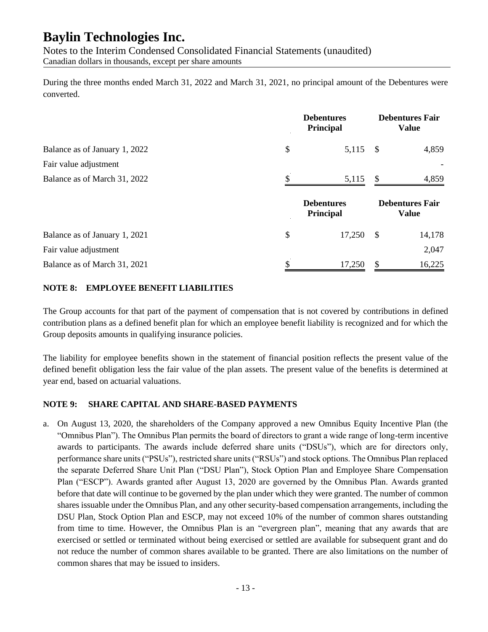Notes to the Interim Condensed Consolidated Financial Statements (unaudited) Canadian dollars in thousands, except per share amounts

During the three months ended March 31, 2022 and March 31, 2021, no principal amount of the Debentures were converted.

|                               | <b>Debentures</b><br><b>Principal</b> |               | <b>Debentures Fair</b><br><b>Value</b> |
|-------------------------------|---------------------------------------|---------------|----------------------------------------|
| Balance as of January 1, 2022 | \$<br>5,115                           | - \$          | 4,859                                  |
| Fair value adjustment         |                                       |               |                                        |
| Balance as of March 31, 2022  | 5,115                                 | \$            | 4,859                                  |
|                               |                                       |               |                                        |
|                               | <b>Debentures</b><br>Principal        |               | <b>Debentures Fair</b><br><b>Value</b> |
| Balance as of January 1, 2021 | \$<br>17,250                          | $\mathcal{S}$ | 14,178                                 |
| Fair value adjustment         |                                       |               | 2,047                                  |

#### **NOTE 8: EMPLOYEE BENEFIT LIABILITIES**

The Group accounts for that part of the payment of compensation that is not covered by contributions in defined contribution plans as a defined benefit plan for which an employee benefit liability is recognized and for which the Group deposits amounts in qualifying insurance policies.

The liability for employee benefits shown in the statement of financial position reflects the present value of the defined benefit obligation less the fair value of the plan assets. The present value of the benefits is determined at year end, based on actuarial valuations.

#### **NOTE 9: SHARE CAPITAL AND SHARE-BASED PAYMENTS**

a. On August 13, 2020, the shareholders of the Company approved a new Omnibus Equity Incentive Plan (the "Omnibus Plan"). The Omnibus Plan permits the board of directors to grant a wide range of long-term incentive awards to participants. The awards include deferred share units ("DSUs"), which are for directors only, performance share units ("PSUs"), restricted share units ("RSUs") and stock options. The Omnibus Plan replaced the separate Deferred Share Unit Plan ("DSU Plan"), Stock Option Plan and Employee Share Compensation Plan ("ESCP"). Awards granted after August 13, 2020 are governed by the Omnibus Plan. Awards granted before that date will continue to be governed by the plan under which they were granted. The number of common shares issuable under the Omnibus Plan, and any other security-based compensation arrangements, including the DSU Plan, Stock Option Plan and ESCP, may not exceed 10% of the number of common shares outstanding from time to time. However, the Omnibus Plan is an "evergreen plan", meaning that any awards that are exercised or settled or terminated without being exercised or settled are available for subsequent grant and do not reduce the number of common shares available to be granted. There are also limitations on the number of common shares that may be issued to insiders.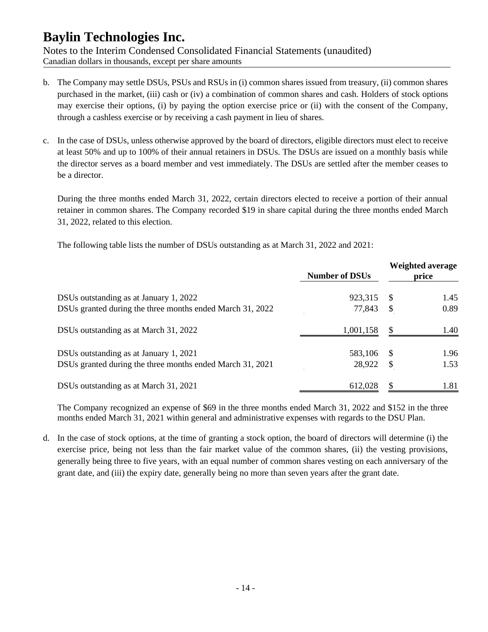Notes to the Interim Condensed Consolidated Financial Statements (unaudited) Canadian dollars in thousands, except per share amounts

- b. The Company may settle DSUs, PSUs and RSUs in (i) common shares issued from treasury, (ii) common shares purchased in the market, (iii) cash or (iv) a combination of common shares and cash. Holders of stock options may exercise their options, (i) by paying the option exercise price or (ii) with the consent of the Company, through a cashless exercise or by receiving a cash payment in lieu of shares.
- c. In the case of DSUs, unless otherwise approved by the board of directors, eligible directors must elect to receive at least 50% and up to 100% of their annual retainers in DSUs. The DSUs are issued on a monthly basis while the director serves as a board member and vest immediately. The DSUs are settled after the member ceases to be a director.

During the three months ended March 31, 2022, certain directors elected to receive a portion of their annual retainer in common shares. The Company recorded \$19 in share capital during the three months ended March 31, 2022, related to this election.

The following table lists the number of DSUs outstanding as at March 31, 2022 and 2021:

|                                                           | <b>Number of DSUs</b> |                           | <b>Weighted average</b><br>price |
|-----------------------------------------------------------|-----------------------|---------------------------|----------------------------------|
| DSUs outstanding as at January 1, 2022                    | 923,315               | \$.                       | 1.45                             |
| DSUs granted during the three months ended March 31, 2022 | 77,843                | \$                        | 0.89                             |
| DSUs outstanding as at March 31, 2022                     | 1,001,158             | \$.                       | 1.40                             |
| DSUs outstanding as at January 1, 2021                    | 583,106               | -S                        | 1.96                             |
| DSUs granted during the three months ended March 31, 2021 | 28,922                | $\boldsymbol{\mathsf{S}}$ | 1.53                             |
| DSUs outstanding as at March 31, 2021                     | 612,028               | \$                        | 1.81                             |

The Company recognized an expense of \$69 in the three months ended March 31, 2022 and \$152 in the three months ended March 31, 2021 within general and administrative expenses with regards to the DSU Plan.

d. In the case of stock options, at the time of granting a stock option, the board of directors will determine (i) the exercise price, being not less than the fair market value of the common shares, (ii) the vesting provisions, generally being three to five years, with an equal number of common shares vesting on each anniversary of the grant date, and (iii) the expiry date, generally being no more than seven years after the grant date.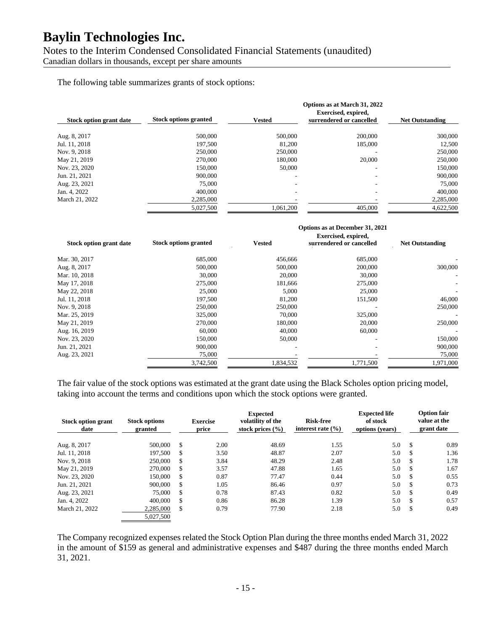Notes to the Interim Condensed Consolidated Financial Statements (unaudited) Canadian dollars in thousands, except per share amounts

The following table summarizes grants of stock options:

|                         |                              |               | Options as at March 31, 2022<br>Exercised, expired, |                        |  |  |  |  |  |
|-------------------------|------------------------------|---------------|-----------------------------------------------------|------------------------|--|--|--|--|--|
| Stock option grant date | <b>Stock options granted</b> | <b>Vested</b> | surrendered or cancelled                            | <b>Net Outstanding</b> |  |  |  |  |  |
| Aug. 8, 2017            | 500,000                      | 500,000       | 200,000                                             | 300,000                |  |  |  |  |  |
| Jul. 11, 2018           | 197,500                      | 81,200        | 185,000                                             | 12,500                 |  |  |  |  |  |
| Nov. 9, 2018            | 250,000                      | 250,000       |                                                     | 250,000                |  |  |  |  |  |
| May 21, 2019            | 270,000                      | 180,000       | 20,000                                              | 250,000                |  |  |  |  |  |
| Nov. 23, 2020           | 150,000                      | 50,000        | ۰                                                   | 150,000                |  |  |  |  |  |
| Jun. 21, 2021           | 900,000                      | -             | $\overline{\phantom{a}}$                            | 900,000                |  |  |  |  |  |
| Aug. 23, 2021           | 75,000                       |               | $\overline{\phantom{a}}$                            | 75,000                 |  |  |  |  |  |
| Jan. 4, 2022            | 400,000                      | -             | ۰                                                   | 400,000                |  |  |  |  |  |
| March 21, 2022          | 2,285,000                    |               |                                                     | 2,285,000              |  |  |  |  |  |
|                         | 5.027.500                    | 1.061.200     | 405,000                                             | 4.622.500              |  |  |  |  |  |

#### **Options as at December 31, 2021 Exercised, expired,**

| Stock option grant date | <b>Stock options granted</b> | <b>Vested</b> | елегсімен, ехріген,<br>surrendered or cancelled | <b>Net Outstanding</b> |  |  |
|-------------------------|------------------------------|---------------|-------------------------------------------------|------------------------|--|--|
| Mar. 30, 2017           | 685,000                      | 456,666       | 685,000                                         |                        |  |  |
| Aug. 8, 2017            | 500,000                      | 500,000       | 200,000                                         | 300,000                |  |  |
| Mar. 10, 2018           | 30,000                       | 20,000        | 30,000                                          |                        |  |  |
| May 17, 2018            | 275,000                      | 181,666       | 275,000                                         |                        |  |  |
| May 22, 2018            | 25,000                       | 5,000         | 25,000                                          |                        |  |  |
| Jul. 11, 2018           | 197,500                      | 81,200        | 151,500                                         | 46,000                 |  |  |
| Nov. 9, 2018            | 250,000                      | 250,000       |                                                 | 250,000                |  |  |
| Mar. 25, 2019           | 325,000                      | 70,000        | 325,000                                         |                        |  |  |
| May 21, 2019            | 270,000                      | 180,000       | 20,000                                          | 250,000                |  |  |
| Aug. 16, 2019           | 60,000                       | 40,000        | 60,000                                          |                        |  |  |
| Nov. 23, 2020           | 150,000                      | 50,000        |                                                 | 150,000                |  |  |
| Jun. 21, 2021           | 900,000                      |               |                                                 | 900,000                |  |  |
| Aug. 23, 2021           | 75,000                       |               |                                                 | 75,000                 |  |  |
|                         | 3,742,500                    | 1,834,532     | 1,771,500                                       | 1,971,000              |  |  |

The fair value of the stock options was estimated at the grant date using the Black Scholes option pricing model, taking into account the terms and conditions upon which the stock options were granted.

| <b>Stock option grant</b><br>date | <b>Stock options</b><br>granted | <b>Exercise</b><br>price |      | <b>Expected</b><br>volatility of the<br>stock prices $(\% )$ | <b>Risk-free</b><br>interest rate $(\% )$ | <b>Expected life</b><br>of stock<br>options (years) |     | <b>Option fair</b><br>value at the<br>grant date |
|-----------------------------------|---------------------------------|--------------------------|------|--------------------------------------------------------------|-------------------------------------------|-----------------------------------------------------|-----|--------------------------------------------------|
| Aug. 8, 2017                      | 500,000                         | \$.                      | 2.00 | 48.69                                                        | 1.55                                      | 5.0                                                 | -S  | 0.89                                             |
| Jul. 11, 2018                     | 197,500                         | S                        | 3.50 | 48.87                                                        | 2.07                                      | 5.0                                                 | \$  | 1.36                                             |
| Nov. 9, 2018                      | 250,000                         | S                        | 3.84 | 48.29                                                        | 2.48                                      | 5.0                                                 | \$. | 1.78                                             |
| May 21, 2019                      | 270,000                         | S                        | 3.57 | 47.88                                                        | 1.65                                      | 5.0                                                 | -S  | 1.67                                             |
| Nov. 23, 2020                     | 150,000                         | S                        | 0.87 | 77.47                                                        | 0.44                                      | 5.0                                                 | S   | 0.55                                             |
| Jun. 21, 2021                     | 900,000                         | S                        | 1.05 | 86.46                                                        | 0.97                                      | 5.0                                                 | \$  | 0.73                                             |
| Aug. 23, 2021                     | 75,000                          | \$                       | 0.78 | 87.43                                                        | 0.82                                      | 5.0                                                 | \$. | 0.49                                             |
| Jan. 4, 2022                      | 400,000                         | S                        | 0.86 | 86.28                                                        | 1.39                                      | 5.0                                                 | \$  | 0.57                                             |
| March 21, 2022                    | 2,285,000                       | \$                       | 0.79 | 77.90                                                        | 2.18                                      | 5.0                                                 | \$  | 0.49                                             |
|                                   | 5,027,500                       |                          |      |                                                              |                                           |                                                     |     |                                                  |

The Company recognized expenses related the Stock Option Plan during the three months ended March 31, 2022 in the amount of \$159 as general and administrative expenses and \$487 during the three months ended March 31, 2021.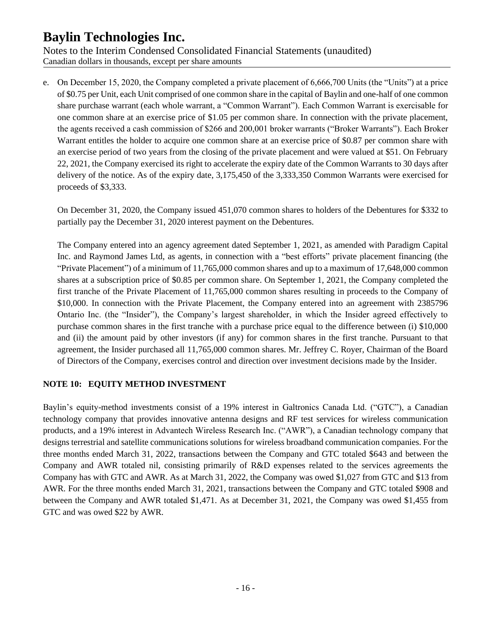Notes to the Interim Condensed Consolidated Financial Statements (unaudited) Canadian dollars in thousands, except per share amounts

e. On December 15, 2020, the Company completed a private placement of 6,666,700 Units (the "Units") at a price of \$0.75 per Unit, each Unit comprised of one common share in the capital of Baylin and one-half of one common share purchase warrant (each whole warrant, a "Common Warrant"). Each Common Warrant is exercisable for one common share at an exercise price of \$1.05 per common share. In connection with the private placement, the agents received a cash commission of \$266 and 200,001 broker warrants ("Broker Warrants"). Each Broker Warrant entitles the holder to acquire one common share at an exercise price of \$0.87 per common share with an exercise period of two years from the closing of the private placement and were valued at \$51. On February 22, 2021, the Company exercised its right to accelerate the expiry date of the Common Warrants to 30 days after delivery of the notice. As of the expiry date, 3,175,450 of the 3,333,350 Common Warrants were exercised for proceeds of \$3,333.

On December 31, 2020, the Company issued 451,070 common shares to holders of the Debentures for \$332 to partially pay the December 31, 2020 interest payment on the Debentures.

The Company entered into an agency agreement dated September 1, 2021, as amended with Paradigm Capital Inc. and Raymond James Ltd, as agents, in connection with a "best efforts" private placement financing (the "Private Placement") of a minimum of 11,765,000 common shares and up to a maximum of 17,648,000 common shares at a subscription price of \$0.85 per common share. On September 1, 2021, the Company completed the first tranche of the Private Placement of 11,765,000 common shares resulting in proceeds to the Company of \$10,000. In connection with the Private Placement, the Company entered into an agreement with 2385796 Ontario Inc. (the "Insider"), the Company's largest shareholder, in which the Insider agreed effectively to purchase common shares in the first tranche with a purchase price equal to the difference between (i) \$10,000 and (ii) the amount paid by other investors (if any) for common shares in the first tranche. Pursuant to that agreement, the Insider purchased all 11,765,000 common shares. Mr. Jeffrey C. Royer, Chairman of the Board of Directors of the Company, exercises control and direction over investment decisions made by the Insider.

### **NOTE 10: EQUITY METHOD INVESTMENT**

Baylin's equity-method investments consist of a 19% interest in Galtronics Canada Ltd. ("GTC"), a Canadian technology company that provides innovative antenna designs and RF test services for wireless communication products, and a 19% interest in Advantech Wireless Research Inc. ("AWR"), a Canadian technology company that designs terrestrial and satellite communications solutions for wireless broadband communication companies. For the three months ended March 31, 2022, transactions between the Company and GTC totaled \$643 and between the Company and AWR totaled nil, consisting primarily of R&D expenses related to the services agreements the Company has with GTC and AWR. As at March 31, 2022, the Company was owed \$1,027 from GTC and \$13 from AWR. For the three months ended March 31, 2021, transactions between the Company and GTC totaled \$908 and between the Company and AWR totaled \$1,471. As at December 31, 2021, the Company was owed \$1,455 from GTC and was owed \$22 by AWR.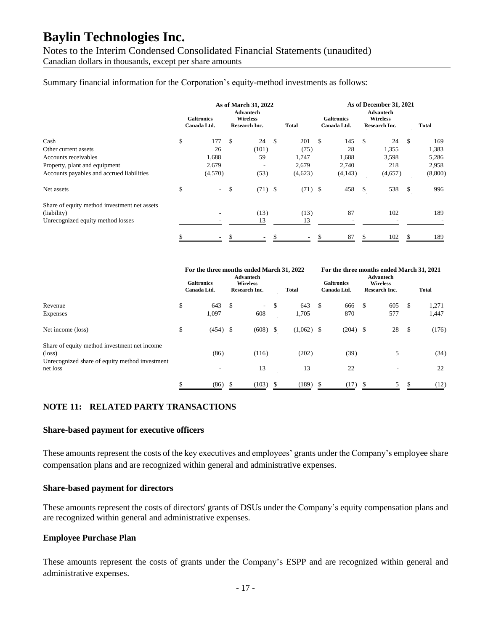Notes to the Interim Condensed Consolidated Financial Statements (unaudited) Canadian dollars in thousands, except per share amounts

Summary financial information for the Corporation's equity-method investments as follows:

|                                              | <b>Galtronics</b><br>Canada Ltd. | As of March 31, 2022<br><b>Advantech</b><br><b>Wireless</b><br><b>Research Inc.</b> |                    | <b>Total</b>             |              | <b>Galtronics</b><br>Canada Ltd. |     | As of December 31, 2021<br><b>Advantech</b><br><b>Wireless</b><br>Research Inc. |      | Total   |
|----------------------------------------------|----------------------------------|-------------------------------------------------------------------------------------|--------------------|--------------------------|--------------|----------------------------------|-----|---------------------------------------------------------------------------------|------|---------|
| Cash                                         | \$<br>177                        | \$<br>24                                                                            | $\mathbf{\hat{S}}$ | 201                      | $\mathbb{S}$ | 145                              | -\$ | 24                                                                              | - \$ | 169     |
| Other current assets                         | 26                               | (101)                                                                               |                    | (75)                     |              | 28                               |     | 1,355                                                                           |      | 1,383   |
| Accounts receivables                         | 1,688                            | 59                                                                                  |                    | 1,747                    |              | 1,688                            |     | 3,598                                                                           |      | 5,286   |
| Property, plant and equipment                | 2,679                            |                                                                                     |                    | 2,679                    |              | 2,740                            |     | 218                                                                             |      | 2,958   |
| Accounts payables and accrued liabilities    | (4,570)                          | (53)                                                                                |                    | (4,623)                  |              | (4,143)                          |     | (4,657)                                                                         |      | (8,800) |
| Net assets                                   | ۰.                               | \$<br>(71)                                                                          | - \$               | (71)                     | S            | 458                              |     | 538                                                                             | S    | 996     |
| Share of equity method investment net assets |                                  |                                                                                     |                    |                          |              |                                  |     |                                                                                 |      |         |
| (liability)                                  |                                  | (13)                                                                                |                    | (13)                     |              | 87                               |     | 102                                                                             |      | 189     |
| Unrecognized equity method losses            |                                  | 13                                                                                  |                    | 13                       |              |                                  |     |                                                                                 |      |         |
|                                              | \$<br>$\overline{\phantom{0}}$   | \$<br>$\sim$                                                                        | \$.                | $\overline{\phantom{a}}$ | \$           | 87                               | S   | 102                                                                             | S    | 189     |

|                                                                 | For the three months ended March 31, 2022<br><b>Galtronics</b><br>Canada Ltd. | Advantech<br><b>Wireless</b><br>Research Inc. | <b>Total</b>       |               | For the three months ended March 31, 2021<br><b>Galtronics</b><br>Canada Ltd. |      | <b>Advantech</b><br><b>Wireless</b><br>Research Inc. |     | <b>Total</b> |
|-----------------------------------------------------------------|-------------------------------------------------------------------------------|-----------------------------------------------|--------------------|---------------|-------------------------------------------------------------------------------|------|------------------------------------------------------|-----|--------------|
| Revenue                                                         | \$<br>643<br>1,097                                                            | \$<br>$\overline{\phantom{a}}$<br>608         | \$<br>643<br>1,705 | \$            | 666<br>870                                                                    | \$   | 605<br>577                                           | \$  | 1,271        |
| Expenses                                                        |                                                                               |                                               |                    |               |                                                                               |      |                                                      |     | 1,447        |
| Net income (loss)                                               | \$<br>$(454)$ \$                                                              | (608)                                         | \$<br>(1,062)      | \$            | (204)                                                                         | - \$ | 28                                                   | -\$ | (176)        |
| Share of equity method investment net income<br>$(\text{loss})$ | (86)                                                                          | (116)                                         | (202)              |               | (39)                                                                          |      | 5                                                    |     | (34)         |
| Unrecognized share of equity method investment                  |                                                                               |                                               |                    |               |                                                                               |      |                                                      |     |              |
| net loss                                                        |                                                                               | 13                                            | 13                 |               | 22                                                                            |      |                                                      |     | 22           |
|                                                                 | \$<br>(86)                                                                    | (103)                                         | (189)              | <sup>\$</sup> | (17)                                                                          | -S   | 5                                                    | S   | (12)         |

#### **NOTE 11: RELATED PARTY TRANSACTIONS**

#### **Share-based payment for executive officers**

These amounts represent the costs of the key executives and employees' grants under the Company's employee share compensation plans and are recognized within general and administrative expenses.

#### **Share-based payment for directors**

These amounts represent the costs of directors' grants of DSUs under the Company's equity compensation plans and are recognized within general and administrative expenses.

#### **Employee Purchase Plan**

These amounts represent the costs of grants under the Company's ESPP and are recognized within general and administrative expenses.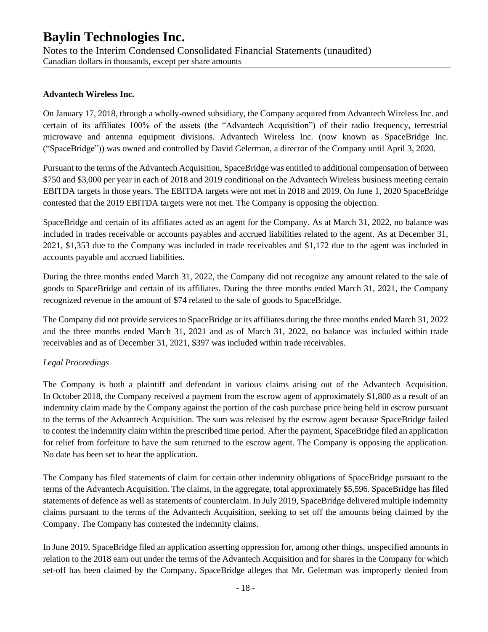Notes to the Interim Condensed Consolidated Financial Statements (unaudited) Canadian dollars in thousands, except per share amounts

#### **Advantech Wireless Inc.**

On January 17, 2018, through a wholly-owned subsidiary, the Company acquired from Advantech Wireless Inc. and certain of its affiliates 100% of the assets (the "Advantech Acquisition") of their radio frequency, terrestrial microwave and antenna equipment divisions. Advantech Wireless Inc. (now known as SpaceBridge Inc. ("SpaceBridge")) was owned and controlled by David Gelerman, a director of the Company until April 3, 2020.

Pursuant to the terms of the Advantech Acquisition, SpaceBridge was entitled to additional compensation of between \$750 and \$3,000 per year in each of 2018 and 2019 conditional on the Advantech Wireless business meeting certain EBITDA targets in those years. The EBITDA targets were not met in 2018 and 2019. On June 1, 2020 SpaceBridge contested that the 2019 EBITDA targets were not met. The Company is opposing the objection.

SpaceBridge and certain of its affiliates acted as an agent for the Company. As at March 31, 2022, no balance was included in trades receivable or accounts payables and accrued liabilities related to the agent. As at December 31, 2021, \$1,353 due to the Company was included in trade receivables and \$1,172 due to the agent was included in accounts payable and accrued liabilities.

During the three months ended March 31, 2022, the Company did not recognize any amount related to the sale of goods to SpaceBridge and certain of its affiliates. During the three months ended March 31, 2021, the Company recognized revenue in the amount of \$74 related to the sale of goods to SpaceBridge.

The Company did not provide services to SpaceBridge or its affiliates during the three months ended March 31, 2022 and the three months ended March 31, 2021 and as of March 31, 2022, no balance was included within trade receivables and as of December 31, 2021, \$397 was included within trade receivables.

### *Legal Proceedings*

The Company is both a plaintiff and defendant in various claims arising out of the Advantech Acquisition. In October 2018, the Company received a payment from the escrow agent of approximately \$1,800 as a result of an indemnity claim made by the Company against the portion of the cash purchase price being held in escrow pursuant to the terms of the Advantech Acquisition. The sum was released by the escrow agent because SpaceBridge failed to contest the indemnity claim within the prescribed time period. After the payment, SpaceBridge filed an application for relief from forfeiture to have the sum returned to the escrow agent. The Company is opposing the application. No date has been set to hear the application.

The Company has filed statements of claim for certain other indemnity obligations of SpaceBridge pursuant to the terms of the Advantech Acquisition. The claims, in the aggregate, total approximately \$5,596. SpaceBridge has filed statements of defence as well as statements of counterclaim. In July 2019, SpaceBridge delivered multiple indemnity claims pursuant to the terms of the Advantech Acquisition, seeking to set off the amounts being claimed by the Company. The Company has contested the indemnity claims.

In June 2019, SpaceBridge filed an application asserting oppression for, among other things, unspecified amounts in relation to the 2018 earn out under the terms of the Advantech Acquisition and for shares in the Company for which set-off has been claimed by the Company. SpaceBridge alleges that Mr. Gelerman was improperly denied from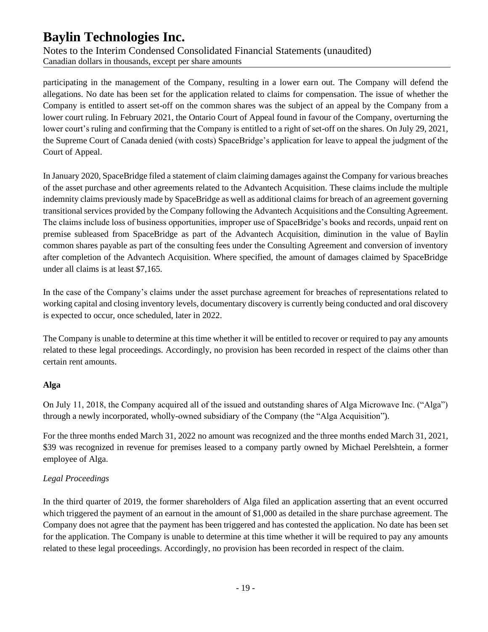Notes to the Interim Condensed Consolidated Financial Statements (unaudited) Canadian dollars in thousands, except per share amounts

participating in the management of the Company, resulting in a lower earn out. The Company will defend the allegations. No date has been set for the application related to claims for compensation. The issue of whether the Company is entitled to assert set-off on the common shares was the subject of an appeal by the Company from a lower court ruling. In February 2021, the Ontario Court of Appeal found in favour of the Company, overturning the lower court's ruling and confirming that the Company is entitled to a right of set-off on the shares. On July 29, 2021, the Supreme Court of Canada denied (with costs) SpaceBridge's application for leave to appeal the judgment of the Court of Appeal.

In January 2020, SpaceBridge filed a statement of claim claiming damages against the Company for various breaches of the asset purchase and other agreements related to the Advantech Acquisition. These claims include the multiple indemnity claims previously made by SpaceBridge as well as additional claims for breach of an agreement governing transitional services provided by the Company following the Advantech Acquisitions and the Consulting Agreement. The claims include loss of business opportunities, improper use of SpaceBridge's books and records, unpaid rent on premise subleased from SpaceBridge as part of the Advantech Acquisition, diminution in the value of Baylin common shares payable as part of the consulting fees under the Consulting Agreement and conversion of inventory after completion of the Advantech Acquisition. Where specified, the amount of damages claimed by SpaceBridge under all claims is at least \$7,165.

In the case of the Company's claims under the asset purchase agreement for breaches of representations related to working capital and closing inventory levels, documentary discovery is currently being conducted and oral discovery is expected to occur, once scheduled, later in 2022.

The Company is unable to determine at this time whether it will be entitled to recover or required to pay any amounts related to these legal proceedings. Accordingly, no provision has been recorded in respect of the claims other than certain rent amounts.

### **Alga**

On July 11, 2018, the Company acquired all of the issued and outstanding shares of Alga Microwave Inc. ("Alga") through a newly incorporated, wholly-owned subsidiary of the Company (the "Alga Acquisition").

For the three months ended March 31, 2022 no amount was recognized and the three months ended March 31, 2021, \$39 was recognized in revenue for premises leased to a company partly owned by Michael Perelshtein, a former employee of Alga.

### *Legal Proceedings*

In the third quarter of 2019, the former shareholders of Alga filed an application asserting that an event occurred which triggered the payment of an earnout in the amount of \$1,000 as detailed in the share purchase agreement. The Company does not agree that the payment has been triggered and has contested the application. No date has been set for the application. The Company is unable to determine at this time whether it will be required to pay any amounts related to these legal proceedings. Accordingly, no provision has been recorded in respect of the claim.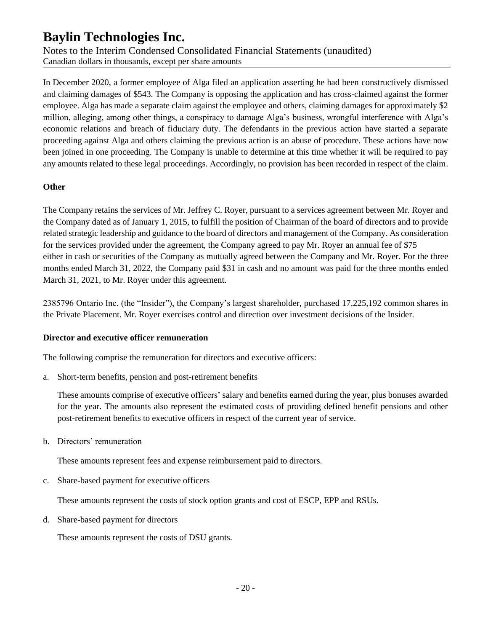Notes to the Interim Condensed Consolidated Financial Statements (unaudited) Canadian dollars in thousands, except per share amounts

In December 2020, a former employee of Alga filed an application asserting he had been constructively dismissed and claiming damages of \$543. The Company is opposing the application and has cross-claimed against the former employee. Alga has made a separate claim against the employee and others, claiming damages for approximately \$2 million, alleging, among other things, a conspiracy to damage Alga's business, wrongful interference with Alga's economic relations and breach of fiduciary duty. The defendants in the previous action have started a separate proceeding against Alga and others claiming the previous action is an abuse of procedure. These actions have now been joined in one proceeding. The Company is unable to determine at this time whether it will be required to pay any amounts related to these legal proceedings. Accordingly, no provision has been recorded in respect of the claim.

### **Other**

The Company retains the services of Mr. Jeffrey C. Royer, pursuant to a services agreement between Mr. Royer and the Company dated as of January 1, 2015, to fulfill the position of Chairman of the board of directors and to provide related strategic leadership and guidance to the board of directors and management of the Company. As consideration for the services provided under the agreement, the Company agreed to pay Mr. Royer an annual fee of \$75 either in cash or securities of the Company as mutually agreed between the Company and Mr. Royer. For the three months ended March 31, 2022, the Company paid \$31 in cash and no amount was paid for the three months ended March 31, 2021, to Mr. Royer under this agreement.

2385796 Ontario Inc. (the "Insider"), the Company's largest shareholder, purchased 17,225,192 common shares in the Private Placement. Mr. Royer exercises control and direction over investment decisions of the Insider.

#### **Director and executive officer remuneration**

The following comprise the remuneration for directors and executive officers:

a. Short-term benefits, pension and post-retirement benefits

These amounts comprise of executive officers' salary and benefits earned during the year, plus bonuses awarded for the year. The amounts also represent the estimated costs of providing defined benefit pensions and other post-retirement benefits to executive officers in respect of the current year of service.

b. Directors' remuneration

These amounts represent fees and expense reimbursement paid to directors.

c. Share-based payment for executive officers

These amounts represent the costs of stock option grants and cost of ESCP, EPP and RSUs.

d. Share-based payment for directors

These amounts represent the costs of DSU grants.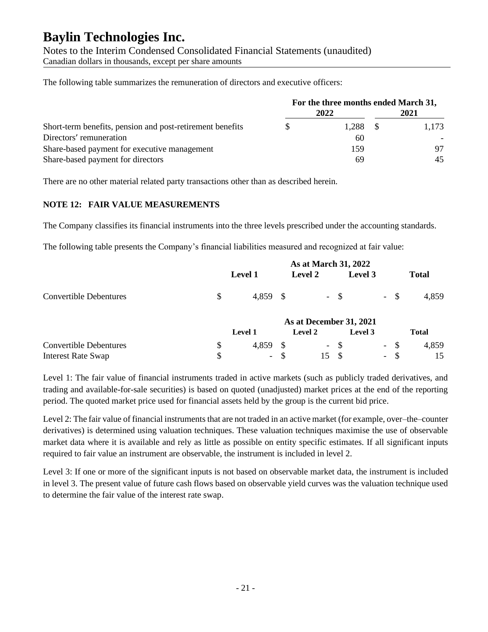Notes to the Interim Condensed Consolidated Financial Statements (unaudited) Canadian dollars in thousands, except per share amounts

The following table summarizes the remuneration of directors and executive officers:

|                                                           | For the three months ended March 31, |       |      |       |  |
|-----------------------------------------------------------|--------------------------------------|-------|------|-------|--|
|                                                           |                                      | 2022  | 2021 |       |  |
| Short-term benefits, pension and post-retirement benefits |                                      | 1.288 |      | 1.173 |  |
| Directors' remuneration                                   |                                      | 60    |      |       |  |
| Share-based payment for executive management              |                                      | 159   |      | 97    |  |
| Share-based payment for directors                         |                                      | 69    |      | 45    |  |

There are no other material related party transactions other than as described herein.

### **NOTE 12: FAIR VALUE MEASUREMENTS**

The Company classifies its financial instruments into the three levels prescribed under the accounting standards.

The following table presents the Company's financial liabilities measured and recognized at fair value:

|                               | As at March 31, 2022 |                |   |                |        |                         |                          |        |              |
|-------------------------------|----------------------|----------------|---|----------------|--------|-------------------------|--------------------------|--------|--------------|
|                               |                      | <b>Level 1</b> |   | Level 2        |        | Level 3                 |                          |        | <b>Total</b> |
| <b>Convertible Debentures</b> | $\mathbb{S}$         | 4,859          |   |                | $-$ \$ |                         |                          | $-$ \$ | 4,859        |
|                               |                      |                |   |                |        | As at December 31, 2021 |                          |        |              |
|                               |                      | <b>Level 1</b> |   | <b>Level 2</b> |        | Level 3                 |                          |        | Total        |
| <b>Convertible Debentures</b> | $\mathbb{S}$         | 4,859          |   | $\sim$         | -\$    |                         | $\overline{\phantom{a}}$ | -\$    | 4,859        |
| <b>Interest Rate Swap</b>     | \$                   | $ \,$          | S | 15             | -S     |                         | $\overline{\phantom{a}}$ | -S     | 15           |

Level 1: The fair value of financial instruments traded in active markets (such as publicly traded derivatives, and trading and available-for-sale securities) is based on quoted (unadjusted) market prices at the end of the reporting period. The quoted market price used for financial assets held by the group is the current bid price.

Level 2: The fair value of financial instruments that are not traded in an active market (for example, over–the–counter derivatives) is determined using valuation techniques. These valuation techniques maximise the use of observable market data where it is available and rely as little as possible on entity specific estimates. If all significant inputs required to fair value an instrument are observable, the instrument is included in level 2.

Level 3: If one or more of the significant inputs is not based on observable market data, the instrument is included in level 3. The present value of future cash flows based on observable yield curves was the valuation technique used to determine the fair value of the interest rate swap.